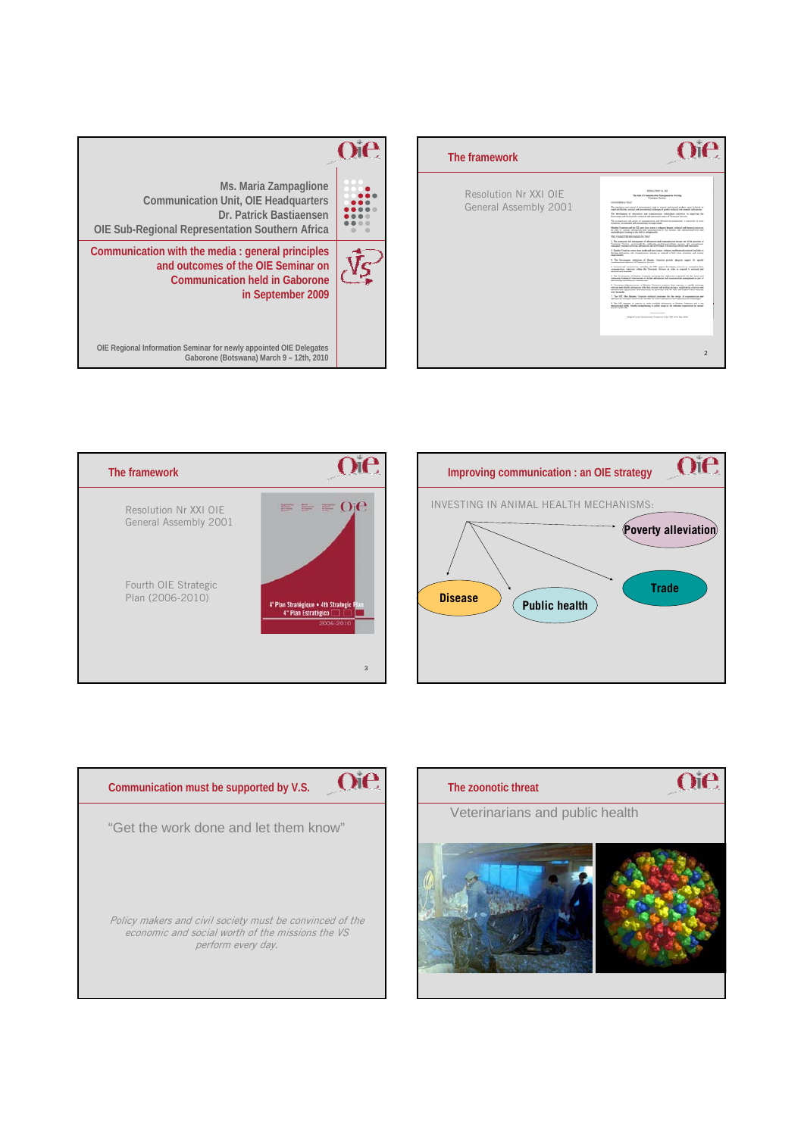









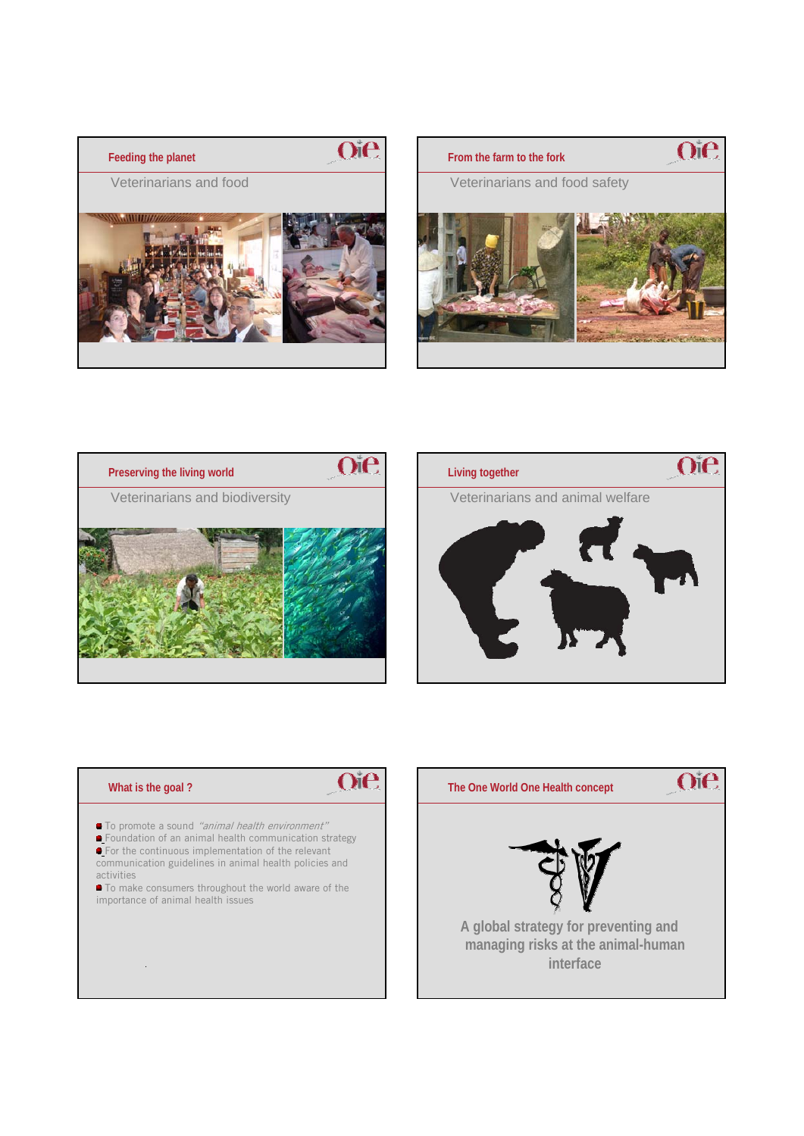







# **What is the goal ?**

.



- To promote a sound "animal health environment"
- Foundation of an animal health communication strategy **•** For the continuous implementation of the relevant communication guidelines in animal health policies and
- activities



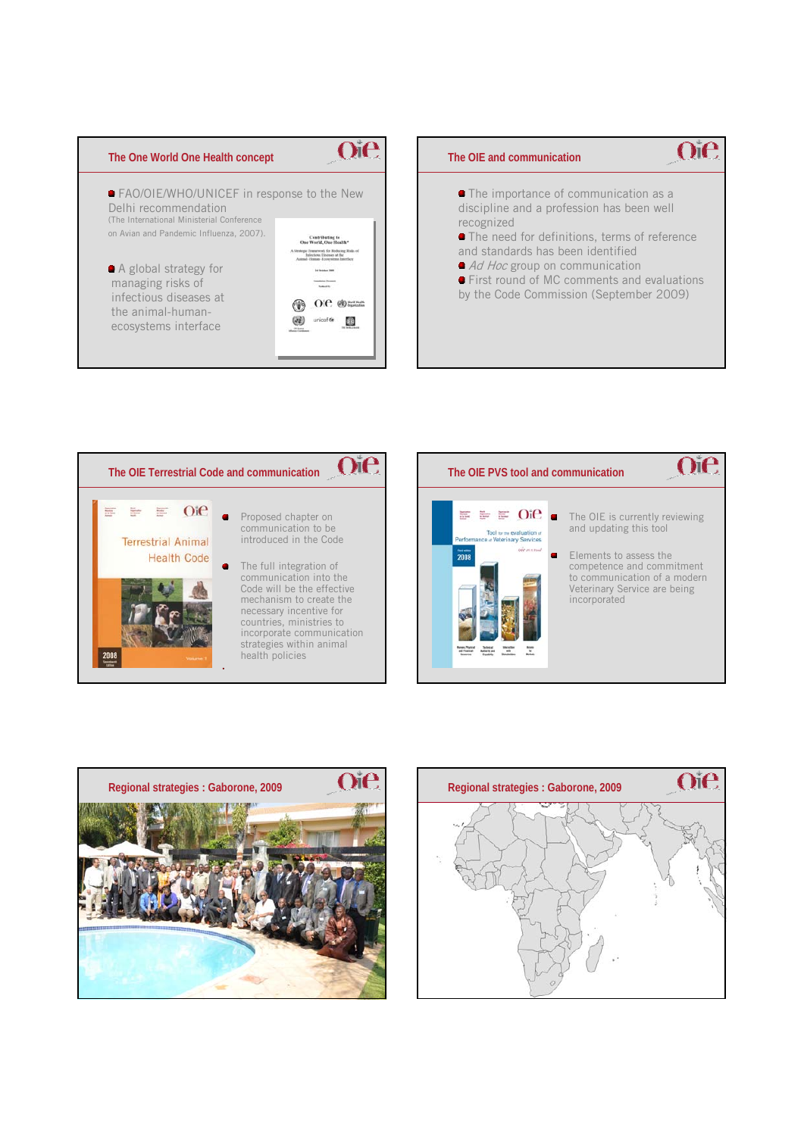







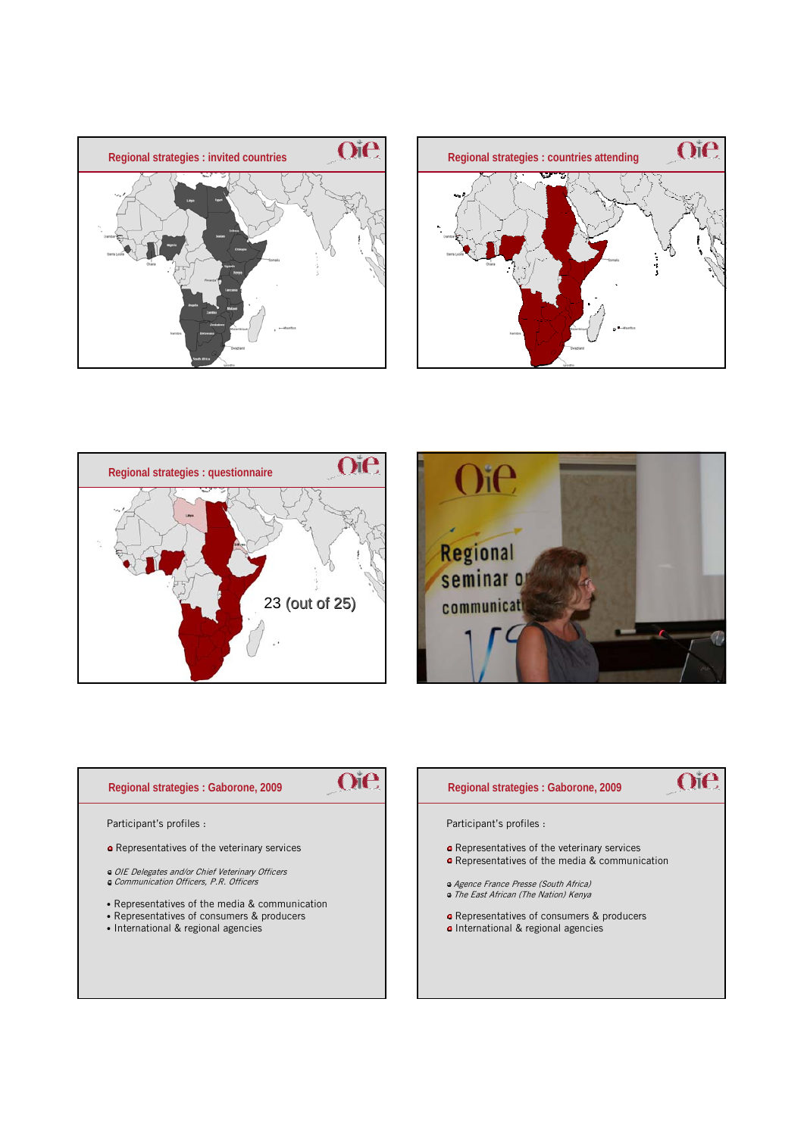







# **Regional strategies : Gaborone, 2009**

Participant's profiles :

- **o** Representatives of the veterinary services
- OIE Delegates and/or Chief Veterinary Officers Communication Officers, P.R. Officers
- 
- Representatives of the media & communication
- Representatives of consumers & producers
- International & regional agencies

### **Regional strategies : Gaborone, 2009**

# Oie.

Participant's profiles :

**Oie** 

- **o** Representatives of the veterinary services
- **e** Representatives of the media & communication
- Agence France Presse (South Africa) The East African (The Nation) Kenya
- Representatives of consumers & producers
- · International & regional agencies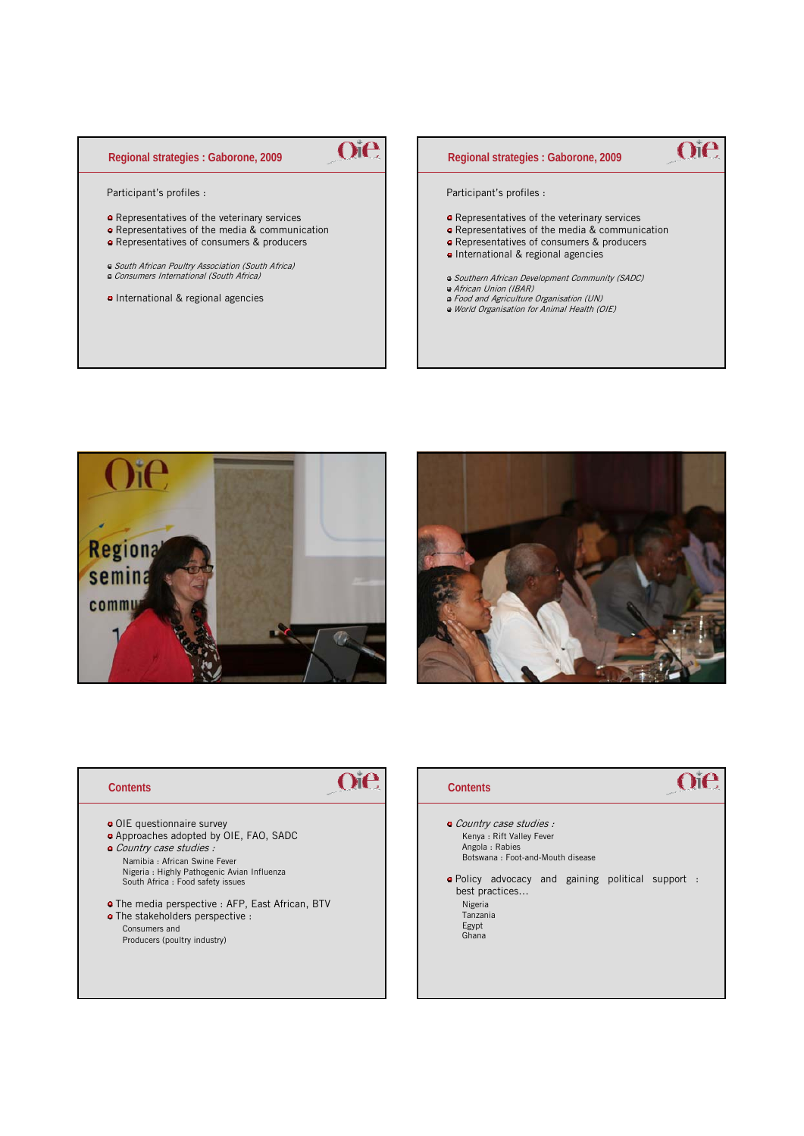## **Regional strategies : Gaborone, 2009**

Participant's profiles :

- **•** Representatives of the veterinary services
- Representatives of the media & communication

Oie

- Representatives of consumers & producers
- South African Poultry Association (South Africa) Consumers International (South Africa)
- International & regional agencies

# **Oie Regional strategies : Gaborone, 2009** Participant's profiles : Representatives of the veterinary services Representatives of the media & communication Representatives of consumers & producers • International & regional agencies Southern African Development Community (SADC) African Union (IBAR) Food and Agriculture Organisation (UN) World Organisation for Animal Health (OIE)





#### **Contents**

- OIE questionnaire survey
- Approaches adopted by OIE, FAO, SADC
- Country case studies : Namibia : African Swine Fever
- Nigeria : Highly Pathogenic Avian Influenza South Africa : Food safety issues
- The media perspective : AFP, East African, BTV

The stakeholders perspective : Consumers and Producers (poultry industry)

### **Contents**

Oie

# **Oie**

- Country case studies : Kenya : Rift Valley Fever Angola : Rabies Botswana : Foot-and-Mouth disease
- Policy advocacy and gaining political support : best practices… Nigeria Tanzania Egypt Ghana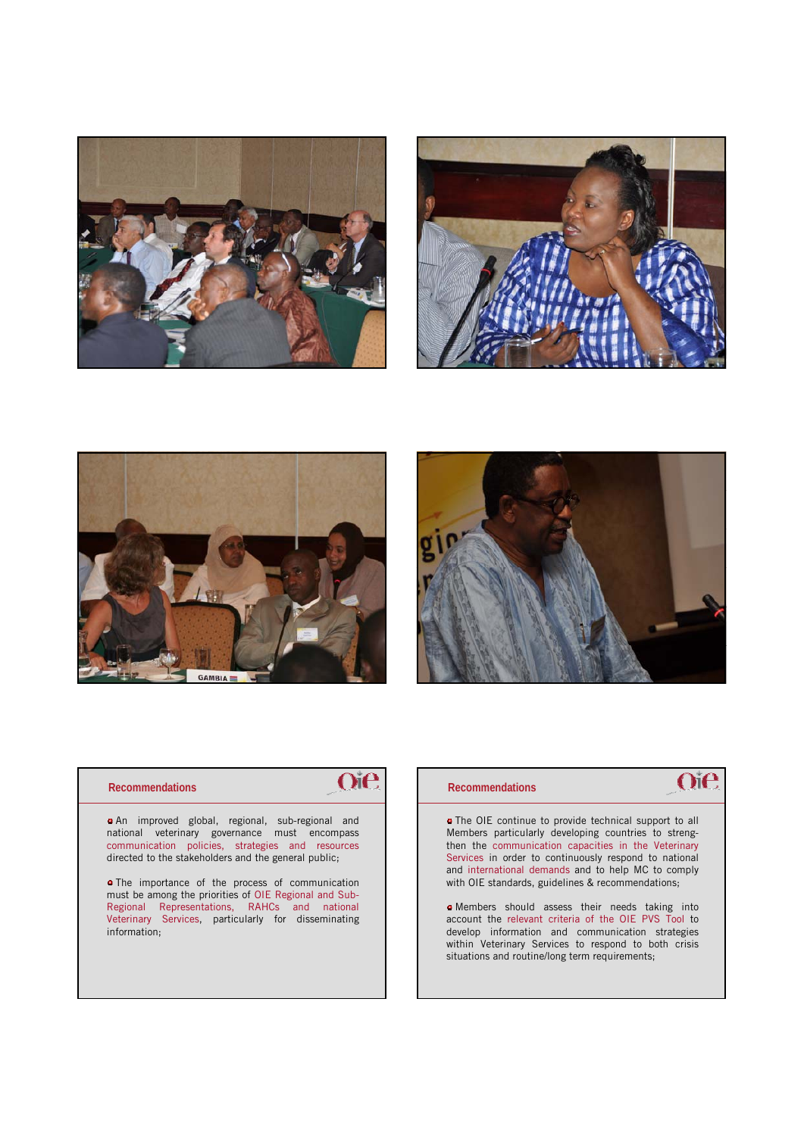







#### **Recommendations**

Oie

An improved global, regional, sub-regional and national veterinary governance must encompass communication policies, strategies and resources directed to the stakeholders and the general public;

**o** The importance of the process of communication must be among the priorities of OIE Regional and Sub-Regional Representations, RAHCs and national Veterinary Services, particularly for disseminating information;

### **Recommendations**

# **Oie**

The OIE continue to provide technical support to all Members particularly developing countries to strengthen the communication capacities in the Veterinary Services in order to continuously respond to national and international demands and to help MC to comply with OIE standards, guidelines & recommendations;

Members should assess their needs taking into account the relevant criteria of the OIE PVS Tool to develop information and communication strategies within Veterinary Services to respond to both crisis situations and routine/long term requirements;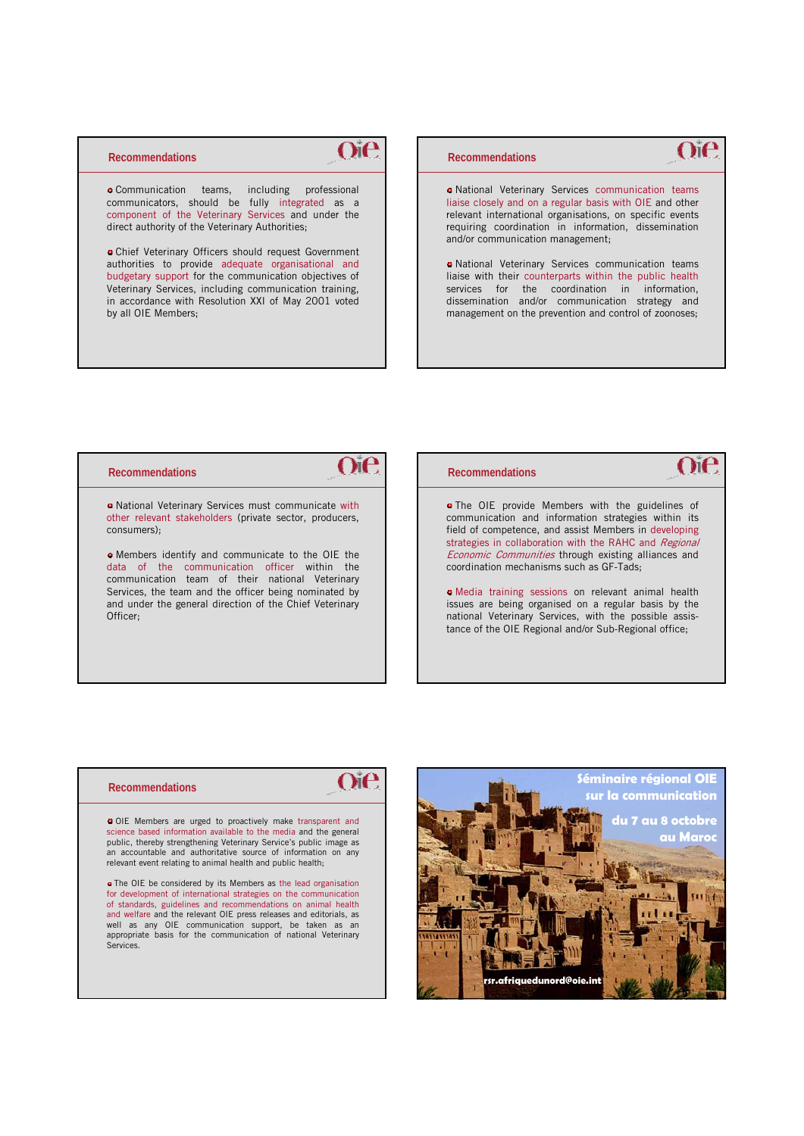### **Recommendations**

 $O$ i $e$ 

Communication teams, including professional communicators, should be fully integrated as a component of the Veterinary Services and under the direct authority of the Veterinary Authorities;

Chief Veterinary Officers should request Government authorities to provide adequate organisational and budgetary support for the communication objectives of Veterinary Services, including communication training, in accordance with Resolution XXI of May 2001 voted by all OIE Members;

### **Recommendations**

National Veterinary Services communication teams liaise closely and on a regular basis with OIE and other relevant international organisations, on specific events requiring coordination in information, dissemination and/or communication management;

Oie

 $O$ ie

National Veterinary Services communication teams liaise with their counterparts within the public health services for the coordination in information, dissemination and/or communication strategy and management on the prevention and control of zoonoses;

#### **Recommendations**

 $O$ ie

National Veterinary Services must communicate with other relevant stakeholders (private sector, producers, consumers);

Members identify and communicate to the OIE the data of the communication officer within the communication team of their national Veterinary Services, the team and the officer being nominated by and under the general direction of the Chief Veterinary Officer;

#### **Recommendations**

**o** The OIE provide Members with the guidelines of communication and information strategies within its field of competence, and assist Members in developing strategies in collaboration with the RAHC and Regional Economic Communities through existing alliances and coordination mechanisms such as GF-Tads;

Media training sessions on relevant animal health issues are being organised on a regular basis by the national Veterinary Services, with the possible assistance of the OIE Regional and/or Sub-Regional office;

OIE Members are urged to proactively make transparent and science based information available to the media and the general public, thereby strengthening Veterinary Service's public image as an accountable and authoritative source of information on any relevant event relating to animal health and public health;

**The OIE** be considered by its Members as the lead organisation for development of international strategies on the communication of standards, guidelines and recommendations on animal health and welfare and the relevant OIE press releases and editorials, as well as any OIE communication support, be taken as an appropriate basis for the communication of national Veterinary Services.